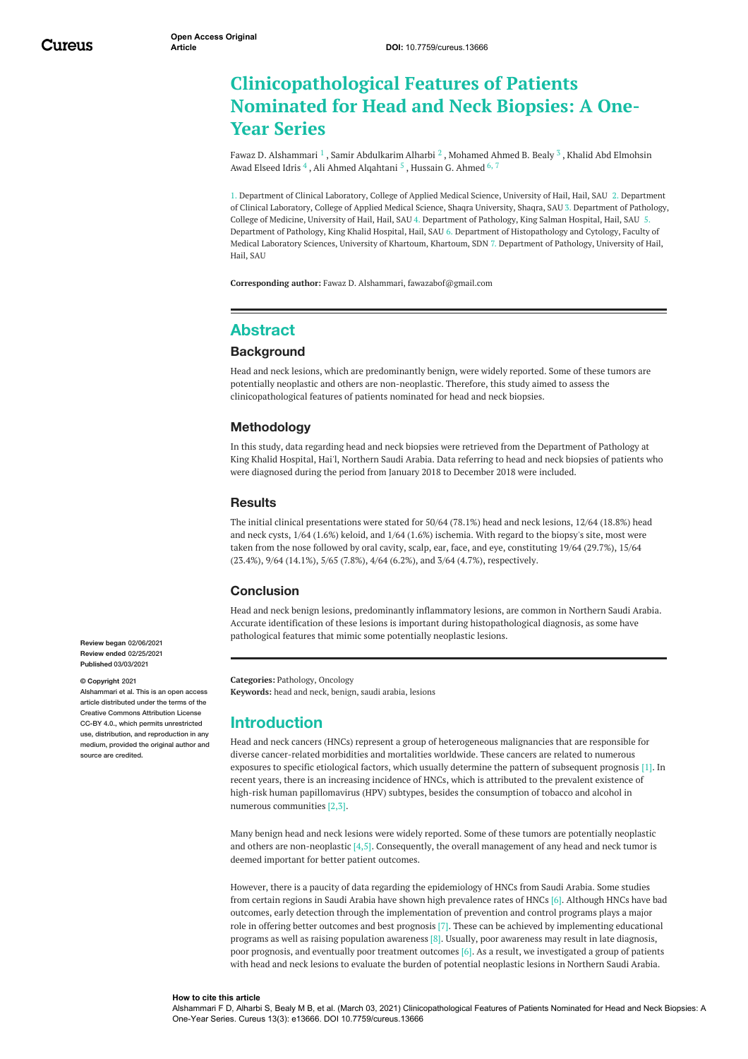# **Clinicopathological Features of Patients Nominated for Head and Neck Biopsies: A One-Year Series**

Fawaz D. [Alshammari](https://www.cureus.com/users/222841-fawaz-d-alshammari)  $^1$  , Samir [Abdulkarim](https://www.cureus.com/users/222842-samir-abdulkarim-alharbi) Alharbi  $^2$  , [Mohamed](https://www.cureus.com/users/222843-mohamed-ahmed-b-bealy) Ahmed B. Bealy  $^3$  , Khalid Abd Elmohsin Awad Elseed Idris  $^4$  , Ali Ahmed [Alqahtani](https://www.cureus.com/users/222845-ali-ahmed-alqahtani)  $^5$  , [Hussain](https://www.cureus.com/users/136765-hussain-g-ahmed) G. Ahmed  $^{6,\,7}$ 

1. Department of Clinical Laboratory, College of Applied Medical Science, University of Hail, Hail, SAU 2. Department of Clinical Laboratory, College of Applied Medical Science, Shaqra University, Shaqra, SAU 3. Department of Pathology, College of Medicine, University of Hail, Hail, SAU 4. Department of Pathology, King Salman Hospital, Hail, SAU 5. Department of Pathology, King Khalid Hospital, Hail, SAU 6. Department of Histopathology and Cytology, Faculty of Medical Laboratory Sciences, University of Khartoum, Khartoum, SDN 7. Department of Pathology, University of Hail, Hail, SAU

**Corresponding author:** Fawaz D. Alshammari, fawazabof@gmail.com

# **Abstract**

#### **Background**

Head and neck lesions, which are predominantly benign, were widely reported. Some of these tumors are potentially neoplastic and others are non-neoplastic. Therefore, this study aimed to assess the clinicopathological features of patients nominated for head and neck biopsies.

#### **Methodology**

In this study, data regarding head and neck biopsies were retrieved from the Department of Pathology at King Khalid Hospital, Hai'l, Northern Saudi Arabia. Data referring to head and neck biopsies of patients who were diagnosed during the period from January 2018 to December 2018 were included.

#### **Results**

The initial clinical presentations were stated for 50/64 (78.1%) head and neck lesions, 12/64 (18.8%) head and neck cysts, 1/64 (1.6%) keloid, and 1/64 (1.6%) ischemia. With regard to the biopsy's site, most were taken from the nose followed by oral cavity, scalp, ear, face, and eye, constituting 19/64 (29.7%), 15/64 (23.4%), 9/64 (14.1%), 5/65 (7.8%), 4/64 (6.2%), and 3/64 (4.7%), respectively.

#### **Conclusion**

Head and neck benign lesions, predominantly inflammatory lesions, are common in Northern Saudi Arabia. Accurate identification of these lesions is important during histopathological diagnosis, as some have pathological features that mimic some potentially neoplastic lesions.

**Categories:** Pathology, Oncology **Keywords:** head and neck, benign, saudi arabia, lesions

## **Introduction**

Head and neck cancers (HNCs) represent a group of heterogeneous malignancies that are responsible for diverse cancer-related morbidities and mortalities worldwide. These cancers are related to numerous exposures to specific etiological factors, which usually determine the pattern of subsequent prognosis [1]. In recent years, there is an increasing incidence of HNCs, which is attributed to the prevalent existence of high-risk human papillomavirus (HPV) subtypes, besides the consumption of tobacco and alcohol in numerous communities [2,3].

Many benign head and neck lesions were widely reported. Some of these tumors are potentially neoplastic and others are non-neoplastic [4,5]. Consequently, the overall management of any head and neck tumor is deemed important for better patient outcomes.

However, there is a paucity of data regarding the epidemiology of HNCs from Saudi Arabia. Some studies from certain regions in Saudi Arabia have shown high prevalence rates of HNCs [6]. Although HNCs have bad outcomes, early detection through the implementation of prevention and control programs plays a major role in offering better outcomes and best prognosis [7]. These can be achieved by implementing educational programs as well as raising population awareness  $[8]$ . Usually, poor awareness may result in late diagnosis, poor prognosis, and eventually poor treatment outcomes [6]. As a result, we investigated a group of patients with head and neck lesions to evaluate the burden of potential neoplastic lesions in Northern Saudi Arabia.

**Review began** 02/06/2021 **Review ended** 02/25/2021 **Published** 03/03/2021

#### **© Copyright** 2021

Alshammari et al. This is an open access article distributed under the terms of the Creative Commons Attribution License CC-BY 4.0., which permits unrestricted use, distribution, and reproduction in any medium, provided the original author and source are credited

#### **How to cite this article**

Alshammari F D, Alharbi S, Bealy M B, et al. (March 03, 2021) Clinicopathological Features of Patients Nominated for Head and Neck Biopsies: A One-Year Series. Cureus 13(3): e13666. DOI 10.7759/cureus.13666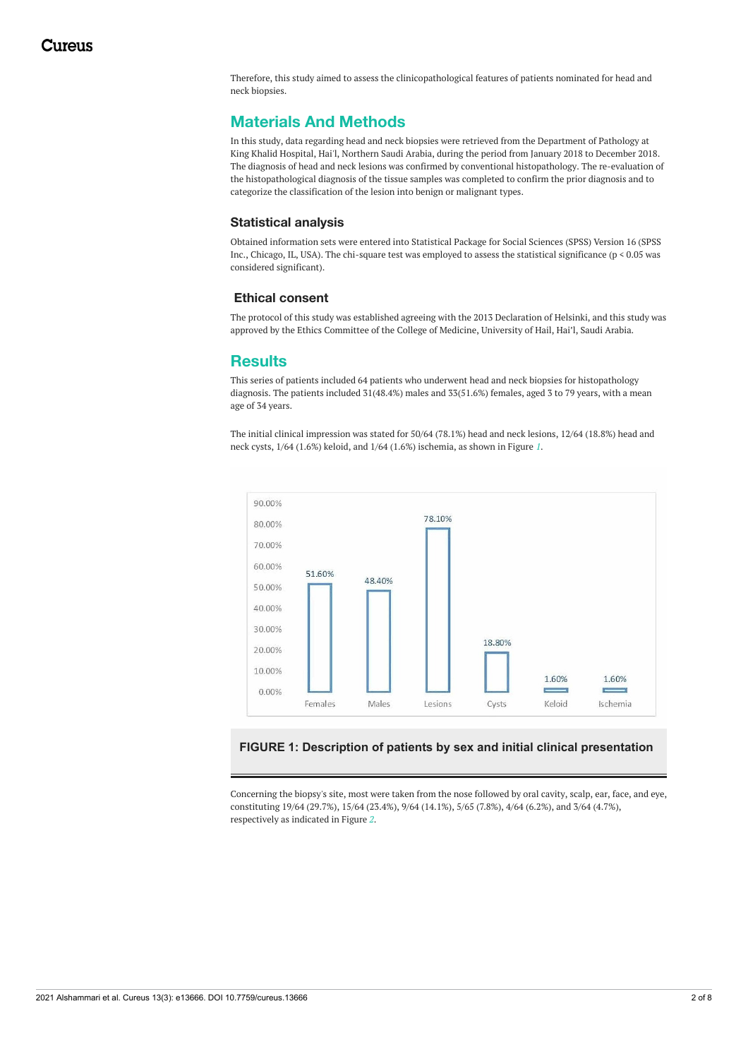Therefore, this study aimed to assess the clinicopathological features of patients nominated for head and neck biopsies.

# **Materials And Methods**

In this study, data regarding head and neck biopsies were retrieved from the Department of Pathology at King Khalid Hospital, Hai'l, Northern Saudi Arabia, during the period from January 2018 to December 2018. The diagnosis of head and neck lesions was confirmed by conventional histopathology. The re-evaluation of the histopathological diagnosis of the tissue samples was completed to confirm the prior diagnosis and to categorize the classification of the lesion into benign or malignant types.

#### **Statistical analysis**

Obtained information sets were entered into Statistical Package for Social Sciences (SPSS) Version 16 (SPSS Inc., Chicago, IL, USA). The chi-square test was employed to assess the statistical significance (p < 0.05 was considered significant).

#### **Ethical consent**

The protocol of this study was established agreeing with the 2013 Declaration of Helsinki, and this study was approved by the Ethics Committee of the College of Medicine, University of Hail, Hai'l, Saudi Arabia.

# **Results**

This series of patients included 64 patients who underwent head and neck biopsies for histopathology diagnosis. The patients included 31(48.4%) males and 33(51.6%) females, aged 3 to 79 years, with a mean age of 34 years.

The initial clinical impression was stated for 50/64 (78.1%) head and neck lesions, 12/64 (18.8%) head and neck cysts, 1/64 (1.6%) keloid, and 1/64 (1.6%) ischemia, as shown in Figure *[1](#page-1-0)*.

<span id="page-1-0"></span>

#### **FIGURE 1: Description of patients by sex and initial clinical presentation**

Concerning the biopsy's site, most were taken from the nose followed by oral cavity, scalp, ear, face, and eye, constituting 19/64 (29.7%), 15/64 (23.4%), 9/64 (14.1%), 5/65 (7.8%), 4/64 (6.2%), and 3/64 (4.7%), respectively as indicated in Figure *[2](#page-2-0)*.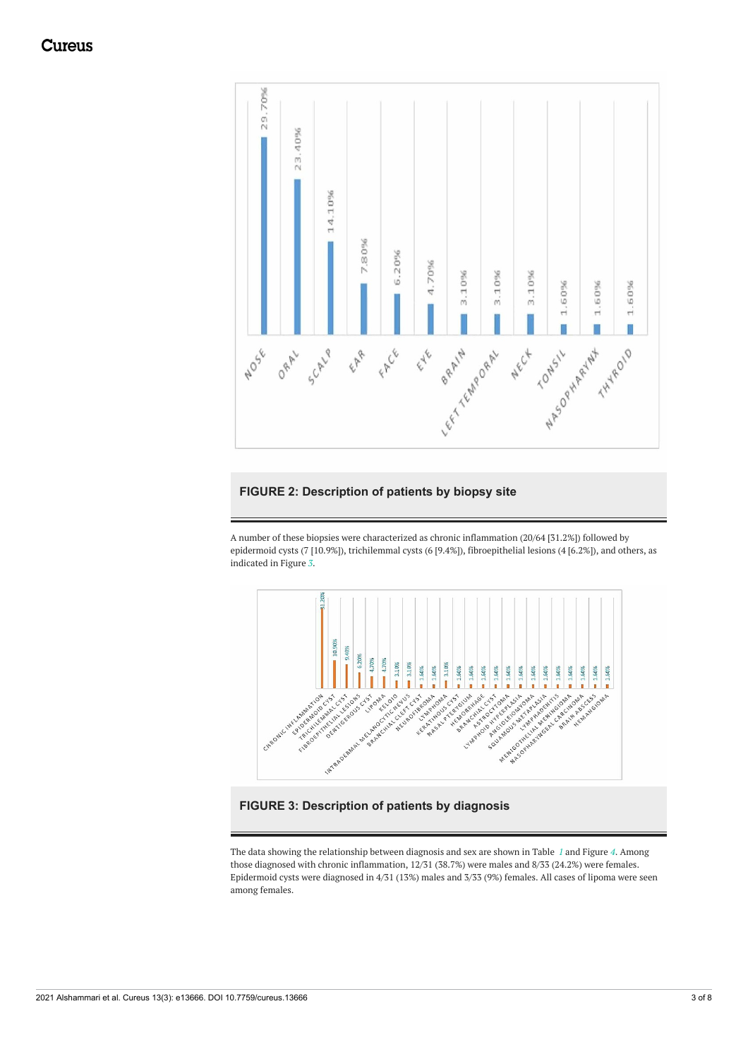<span id="page-2-0"></span>

## **FIGURE 2: Description of patients by biopsy site**

A number of these biopsies were characterized as chronic inflammation (20/64 [31.2%]) followed by epidermoid cysts (7 [10.9%]), trichilemmal cysts (6 [9.4%]), fibroepithelial lesions (4 [6.2%]), and others, as indicated in Figure *[3](#page-2-1)*.

<span id="page-2-1"></span>

## **FIGURE 3: Description of patients by diagnosis**

The data showing the relationship between diagnosis and sex are shown in Table *[1](#page-3-0)* and Figure *[4](#page-3-1)*. Among those diagnosed with chronic inflammation, 12/31 (38.7%) were males and 8/33 (24.2%) were females. Epidermoid cysts were diagnosed in 4/31 (13%) males and 3/33 (9%) females. All cases of lipoma were seen among females.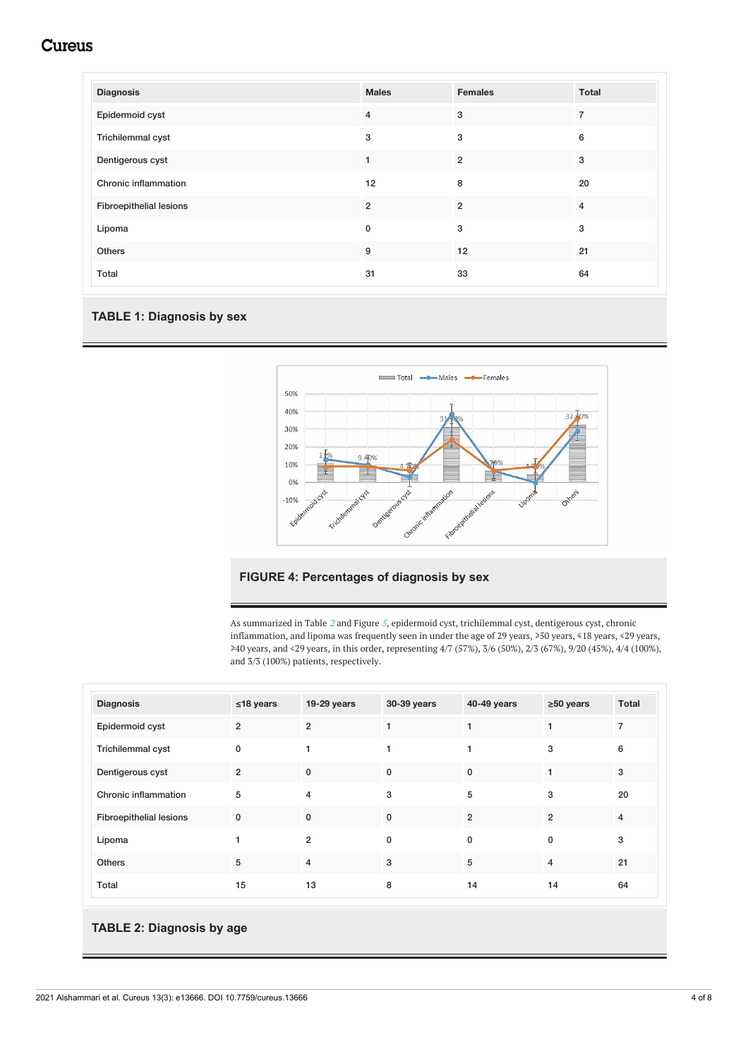# **Cureus**

<span id="page-3-0"></span>

| <b>Diagnosis</b>               | <b>Males</b>   | <b>Females</b> | Total          |
|--------------------------------|----------------|----------------|----------------|
| Epidermoid cyst                | $\overline{4}$ | 3              | $\overline{7}$ |
| Trichilemmal cyst              | 3              | 3              | 6              |
| Dentigerous cyst               | $\mathbf{1}$   | $\overline{2}$ | 3              |
| Chronic inflammation           | 12             | 8              | 20             |
| <b>Fibroepithelial lesions</b> | $\overline{2}$ | $\overline{2}$ | $\overline{4}$ |
| Lipoma                         | $\mathbf 0$    | 3              | 3              |
| Others                         | 9              | 12             | 21             |
| Total                          | 31             | 33             | 64             |

### **TABLE 1: Diagnosis by sex**

<span id="page-3-1"></span>

#### **FIGURE 4: Percentages of diagnosis by sex**

As summarized in Table *[2](#page-3-2)* and Figure *[5](#page-4-0)*, epidermoid cyst, trichilemmal cyst, dentigerous cyst, chronic inflammation, and lipoma was frequently seen in under the age of 29 years, ≥50 years, ≤18 years, <29 years, ≥40 years, and <29 years, in this order, representing 4/7 (57%), 3/6 (50%), 2/3 (67%), 9/20 (45%), 4/4 (100%), and 3/3 (100%) patients, respectively.

<span id="page-3-2"></span>

| <b>Diagnosis</b>               | $\leq$ 18 years | 19-29 years    | 30-39 years  | 40-49 years    | $\geq 50$ years | <b>Total</b>   |
|--------------------------------|-----------------|----------------|--------------|----------------|-----------------|----------------|
| Epidermoid cyst                | $\overline{2}$  | $\overline{2}$ |              |                |                 | $\overline{7}$ |
| Trichilemmal cyst              | $\mathbf{0}$    | 1              |              | 1              | 3               | 6              |
| Dentigerous cyst               | $\overline{2}$  | $\mathbf{0}$   | $\mathbf{0}$ | $\mathbf{0}$   |                 | 3              |
| Chronic inflammation           | 5               | $\overline{4}$ | 3            | 5              | 3               | 20             |
| <b>Fibroepithelial lesions</b> | $\mathbf 0$     | $\Omega$       | $\mathbf 0$  | $\overline{2}$ | $\overline{2}$  | 4              |
| Lipoma                         |                 | $\overline{2}$ | 0            | $\mathbf{0}$   | $\mathbf 0$     | 3              |
| <b>Others</b>                  | 5               | $\overline{4}$ | 3            | 5              | $\overline{4}$  | 21             |
| Total                          | 15              | 13             | 8            | 14             | 14              | 64             |

#### **TABLE 2: Diagnosis by age**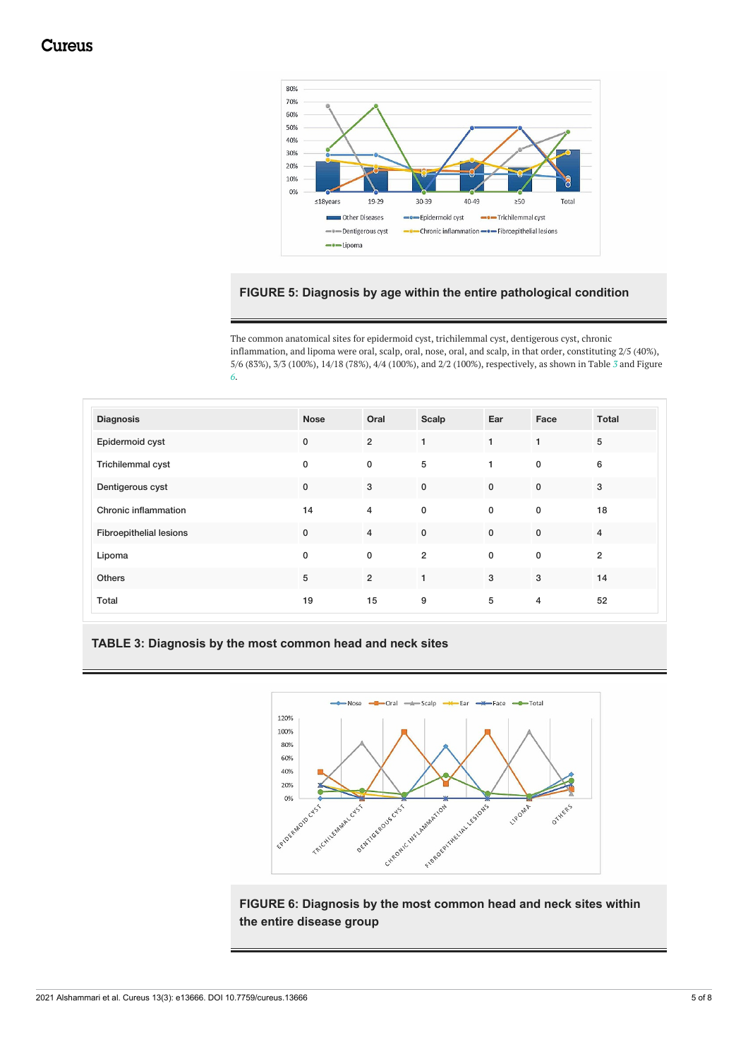<span id="page-4-0"></span>

### **FIGURE 5: Diagnosis by age within the entire pathological condition**

The common anatomical sites for epidermoid cyst, trichilemmal cyst, dentigerous cyst, chronic inflammation, and lipoma were oral, scalp, oral, nose, oral, and scalp, in that order, constituting 2/5 (40%), 5/6 (83%), 3/3 (100%), 14/18 (78%), 4/4 (100%), and 2/2 (100%), respectively, as shown in Table *[3](#page-4-1)* and Figure *[6](#page-4-2)*.

<span id="page-4-1"></span>

| <b>Diagnosis</b>               | <b>Nose</b> | Oral           | Scalp          | Ear          | Face           | <b>Total</b>   |
|--------------------------------|-------------|----------------|----------------|--------------|----------------|----------------|
| Epidermoid cyst                | $\pmb{0}$   | $\overline{2}$ | 1              | $\mathbf{1}$ | $\mathbf{1}$   | $\,$ 5         |
| <b>Trichilemmal cyst</b>       | 0           | 0              | 5              | $\mathbf{1}$ | $\mathbf 0$    | 6              |
| Dentigerous cyst               | $\pmb{0}$   | 3              | $\mathbf 0$    | $\mathbf 0$  | $\mathbf 0$    | 3              |
| Chronic inflammation           | 14          | 4              | $\mathbf 0$    | 0            | $\mathbf 0$    | 18             |
| <b>Fibroepithelial lesions</b> | $\mathbf 0$ | $\overline{4}$ | $\mathbf 0$    | $\mathbf 0$  | $\mathbf 0$    | $\overline{4}$ |
| Lipoma                         | 0           | 0              | $\overline{2}$ | $\mathbf 0$  | $\mathbf 0$    | $\overline{2}$ |
| Others                         | 5           | $\overline{2}$ | 1              | $\mathbf{3}$ | 3              | 14             |
| Total                          | 19          | 15             | 9              | 5            | $\overline{4}$ | 52             |

## **TABLE 3: Diagnosis by the most common head and neck sites**

<span id="page-4-2"></span>

**FIGURE 6: Diagnosis by the most common head and neck sites within the entire disease group**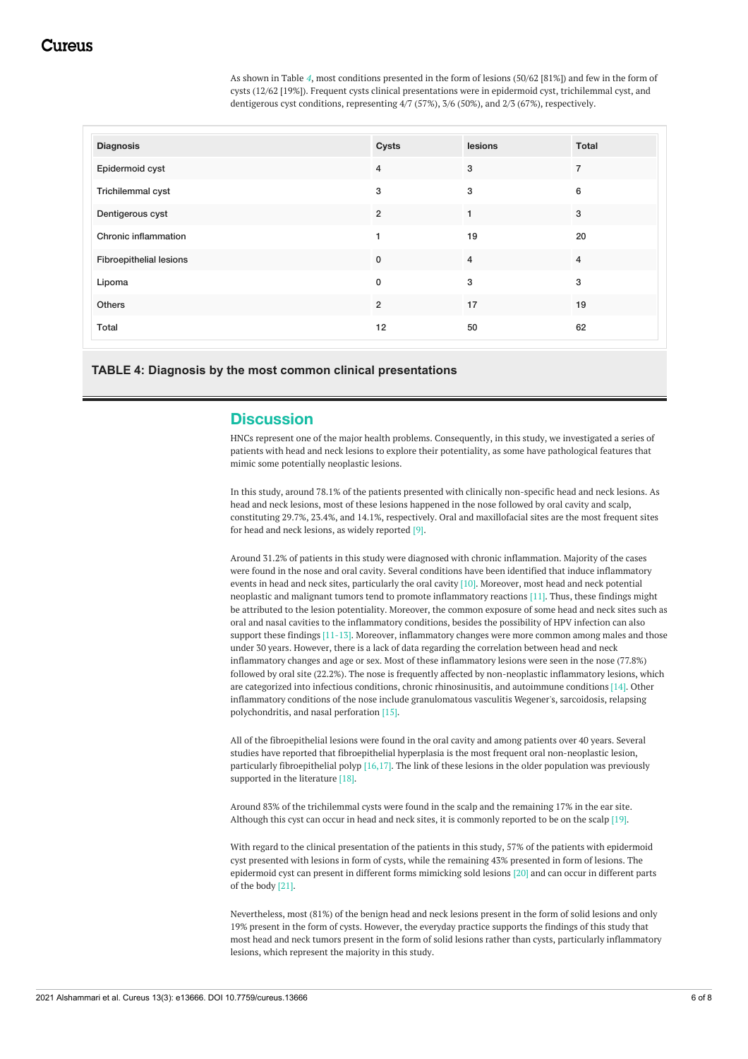As shown in Table *[4](#page-5-0)*, most conditions presented in the form of lesions (50/62 [81%]) and few in the form of cysts (12/62 [19%]). Frequent cysts clinical presentations were in epidermoid cyst, trichilemmal cyst, and dentigerous cyst conditions, representing 4/7 (57%), 3/6 (50%), and 2/3 (67%), respectively.

<span id="page-5-0"></span>

| <b>Diagnosis</b>               | <b>Cysts</b>   | lesions        | Total          |
|--------------------------------|----------------|----------------|----------------|
| Epidermoid cyst                | $\overline{4}$ | 3              | $\overline{7}$ |
| Trichilemmal cyst              | 3              | 3              | 6              |
| Dentigerous cyst               | $\overline{2}$ |                | 3              |
| Chronic inflammation           | 1              | 19             | 20             |
| <b>Fibroepithelial lesions</b> | $\mathbf 0$    | $\overline{4}$ | $\overline{4}$ |
| Lipoma                         | 0              | 3              | 3              |
| Others                         | $\overline{2}$ | 17             | 19             |
| Total                          | 12             | 50             | 62             |

**TABLE 4: Diagnosis by the most common clinical presentations**

#### **Discussion**

HNCs represent one of the major health problems. Consequently, in this study, we investigated a series of patients with head and neck lesions to explore their potentiality, as some have pathological features that mimic some potentially neoplastic lesions.

In this study, around 78.1% of the patients presented with clinically non-specific head and neck lesions. As head and neck lesions, most of these lesions happened in the nose followed by oral cavity and scalp, constituting 29.7%, 23.4%, and 14.1%, respectively. Oral and maxillofacial sites are the most frequent sites for head and neck lesions, as widely reported [9].

Around 31.2% of patients in this study were diagnosed with chronic inflammation. Majority of the cases were found in the nose and oral cavity. Several conditions have been identified that induce inflammatory events in head and neck sites, particularly the oral cavity [10]. Moreover, most head and neck potential neoplastic and malignant tumors tend to promote inflammatory reactions [11]. Thus, these findings might be attributed to the lesion potentiality. Moreover, the common exposure of some head and neck sites such as oral and nasal cavities to the inflammatory conditions, besides the possibility of HPV infection can also support these findings [11-13]. Moreover, inflammatory changes were more common among males and those under 30 years. However, there is a lack of data regarding the correlation between head and neck inflammatory changes and age or sex. Most of these inflammatory lesions were seen in the nose (77.8%) followed by oral site (22.2%). The nose is frequently affected by non-neoplastic inflammatory lesions, which are categorized into infectious conditions, chronic rhinosinusitis, and autoimmune conditions [14]. Other inflammatory conditions of the nose include granulomatous vasculitis Wegener's, sarcoidosis, relapsing polychondritis, and nasal perforation [15].

All of the fibroepithelial lesions were found in the oral cavity and among patients over 40 years. Several studies have reported that fibroepithelial hyperplasia is the most frequent oral non-neoplastic lesion, particularly fibroepithelial polyp  $[16,17]$ . The link of these lesions in the older population was previously supported in the literature [18].

Around 83% of the trichilemmal cysts were found in the scalp and the remaining 17% in the ear site. Although this cyst can occur in head and neck sites, it is commonly reported to be on the scalp [19].

With regard to the clinical presentation of the patients in this study, 57% of the patients with epidermoid cyst presented with lesions in form of cysts, while the remaining 43% presented in form of lesions. The epidermoid cyst can present in different forms mimicking sold lesions [20] and can occur in different parts of the body [21].

Nevertheless, most (81%) of the benign head and neck lesions present in the form of solid lesions and only 19% present in the form of cysts. However, the everyday practice supports the findings of this study that most head and neck tumors present in the form of solid lesions rather than cysts, particularly inflammatory lesions, which represent the majority in this study.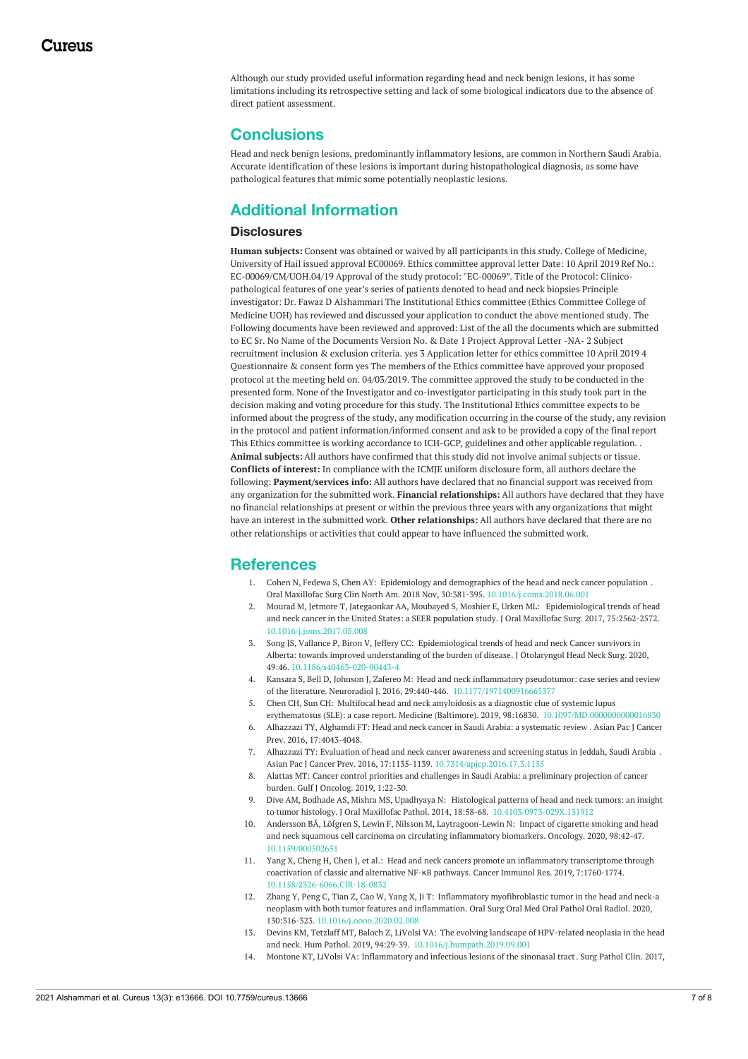Although our study provided useful information regarding head and neck benign lesions, it has some limitations including its retrospective setting and lack of some biological indicators due to the absence of direct patient assessment.

# **Conclusions**

Head and neck benign lesions, predominantly inflammatory lesions, are common in Northern Saudi Arabia. Accurate identification of these lesions is important during histopathological diagnosis, as some have pathological features that mimic some potentially neoplastic lesions.

# **Additional Information**

#### **Disclosures**

**Human subjects:** Consent was obtained or waived by all participants in this study. College of Medicine, University of Hail issued approval EC00069. Ethics committee approval letter Date: 10 April 2019 Ref No.: EC-00069/CM/UOH.04/19 Approval of the study protocol: "EC-00069". Title of the Protocol: Clinicopathological features of one year's series of patients denoted to head and neck biopsies Principle investigator: Dr. Fawaz D Alshammari The Institutional Ethics committee (Ethics Committee College of Medicine UOH) has reviewed and discussed your application to conduct the above mentioned study. The Following documents have been reviewed and approved: List of the all the documents which are submitted to EC Sr. No Name of the Documents Version No. & Date 1 Project Approval Letter -NA- 2 Subject recruitment inclusion & exclusion criteria. yes 3 Application letter for ethics committee 10 April 2019 4 Questionnaire & consent form yes The members of the Ethics committee have approved your proposed protocol at the meeting held on. 04/03/2019. The committee approved the study to be conducted in the presented form. None of the Investigator and co-investigator participating in this study took part in the decision making and voting procedure for this study. The Institutional Ethics committee expects to be informed about the progress of the study, any modification occurring in the course of the study, any revision in the protocol and patient information/informed consent and ask to be provided a copy of the final report This Ethics committee is working accordance to ICH-GCP, guidelines and other applicable regulation. . **Animal subjects:** All authors have confirmed that this study did not involve animal subjects or tissue. **Conflicts of interest:** In compliance with the ICMJE uniform disclosure form, all authors declare the following: **Payment/services info:** All authors have declared that no financial support was received from any organization for the submitted work. **Financial relationships:** All authors have declared that they have no financial relationships at present or within the previous three years with any organizations that might have an interest in the submitted work. **Other relationships:** All authors have declared that there are no other relationships or activities that could appear to have influenced the submitted work.

## **References**

- 1. Cohen N, Fedewa S, Chen AY: Epidemiology and [demographics](https://dx.doi.org/10.1016/j.coms.2018.06.001) of the head and neck cancer population . Oral Maxillofac Surg Clin North Am. 2018 Nov, 30:381-395. [10.1016/j.coms.2018.06.001](https://dx.doi.org/10.1016/j.coms.2018.06.001)
- 2. Mourad M, Jetmore T, Jategaonkar AA, Moubayed S, Moshier E, Urken ML: [Epidemiological](https://dx.doi.org/10.1016/j.joms.2017.05.008) trends of head and neck cancer in the United States: a SEER population study. J Oral Maxillofac Surg. 2017, 75:2562-2572. [10.1016/j.joms.2017.05.008](https://dx.doi.org/10.1016/j.joms.2017.05.008)
- 3. Song JS, Vallance P, Biron V, Jeffery CC: [Epidemiological](https://dx.doi.org/10.1186/s40463-020-00443-4) trends of head and neck Cancer survivors in Alberta: towards improved understanding of the burden of disease. J Otolaryngol Head Neck Surg. 2020, 49:46. [10.1186/s40463-020-00443-4](https://dx.doi.org/10.1186/s40463-020-00443-4)
- 4. Kansara S, Bell D, Johnson J, Zafereo M: Head and neck inflammatory pseudotumor: case series and review of the literature. Neuroradiol J. 2016, 29:440-446. 10.1177/1971400916665.
- 5. Chen CH, Sun CH: Multifocal head and neck amyloidosis as a diagnostic clue of systemic lupus erythematosus (SLE): a case report. Medicine (Baltimore). 2019, 98:16830. [10.1097/MD.0000000000016830](https://dx.doi.org/10.1097/MD.0000000000016830)
- 6. Alhazzazi TY, Alghamdi FT: Head and neck cancer in Saudi Arabia: a [systematic](https://pubmed.ncbi.nlm.nih.gov/27644659/) review . Asian Pac J Cancer Prev. 2016, 17:4043-4048.
- 7. Alhazzazi TY: [Evaluation](https://dx.doi.org/10.7314/apjcp.2016.17.3.1135) of head and neck cancer awareness and screening status in Jeddah, Saudi Arabia . Asian Pac J Cancer Prev. 2016, 17:1135-1139. [10.7314/apjcp.2016.17.3.1135](https://dx.doi.org/10.7314/apjcp.2016.17.3.1135)
- 8. Alattas MT: Cancer control priorities and challenges in Saudi Arabia: a [preliminary](https://pubmed.ncbi.nlm.nih.gov/30956193/) projection of cancer burden. Gulf J Oncolog. 2019, 1:22-30.
- 9. Dive AM, Bodhade AS, Mishra MS, Upadhyaya N: Histological patterns of head and neck tumors: an insight to tumor histology. J Oral Maxillofac Pathol. 2014, 18:58-68. [10.4103/0973-029X.131912](https://dx.doi.org/10.4103/0973-029X.131912)
- 10. Andersson BÅ, Löfgren S, Lewin F, Nilsson M, [Laytragoon-Lewin](https://dx.doi.org/10.1159/000502651) N: Impact of cigarette smoking and head and neck squamous cell carcinoma on circulating inflammatory biomarkers. Oncology. 2020, 98:42-47. [10.1159/000502651](https://dx.doi.org/10.1159/000502651)
- 11. Yang X, Cheng H, Chen J, et al.: Head and neck cancers promote an inflammatory [transcriptome](https://dx.doi.org/10.1158/2326-6066.CIR-18-0832) through coactivation of classic and alternative NF-κB pathways. Cancer Immunol Res. 2019, 7:1760-1774. [10.1158/2326-6066.CIR-18-0832](https://dx.doi.org/10.1158/2326-6066.CIR-18-0832)
- 12. Zhang Y, Peng C, Tian Z, Cao W, Yang X, Ji T: Inflammatory [myofibroblastic](https://dx.doi.org/10.1016/j.oooo.2020.02.008) tumor in the head and neck-a neoplasm with both tumor features and inflammation. Oral Surg Oral Med Oral Pathol Oral Radiol. 2020, 130:316-323. [10.1016/j.oooo.2020.02.008](https://dx.doi.org/10.1016/j.oooo.2020.02.008)
- 13. Devins KM, Tetzlaff MT, Baloch Z, LiVolsi VA: The evolving landscape of HPV-related neoplasia in the head and neck. Hum Pathol. 2019, 94:29-39. [10.1016/j.humpath.2019.09.001](https://dx.doi.org/10.1016/j.humpath.2019.09.001)
- 14. Montone KT, LiVolsi VA: [Inflammatory](https://dx.doi.org/10.1016/j.path.2016.11.002) and infectious lesions of the sinonasal tract. Surg Pathol Clin. 2017,